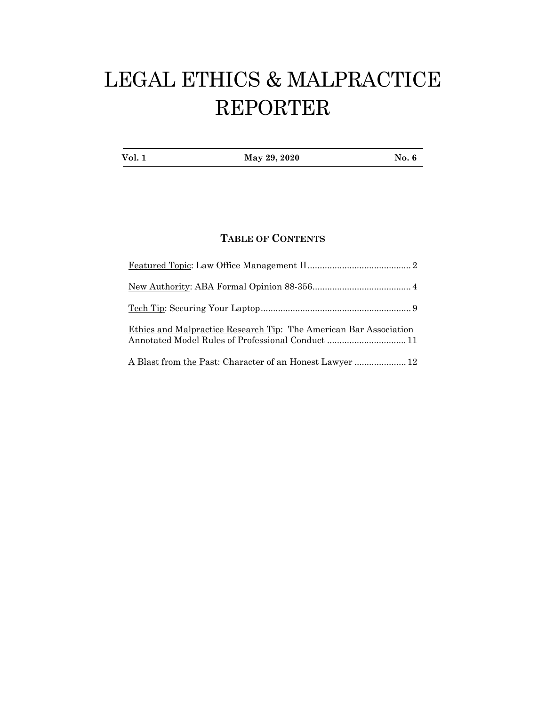# LEGAL ETHICS & MALPRACTICE REPORTER

| Vol. 1 | May 29, 2020 | <b>No. 6</b> |
|--------|--------------|--------------|
|        |              |              |

## **TABLE OF CONTENTS**

| Ethics and Malpractice Research Tip: The American Bar Association<br>Annotated Model Rules of Professional Conduct  11 |
|------------------------------------------------------------------------------------------------------------------------|
|                                                                                                                        |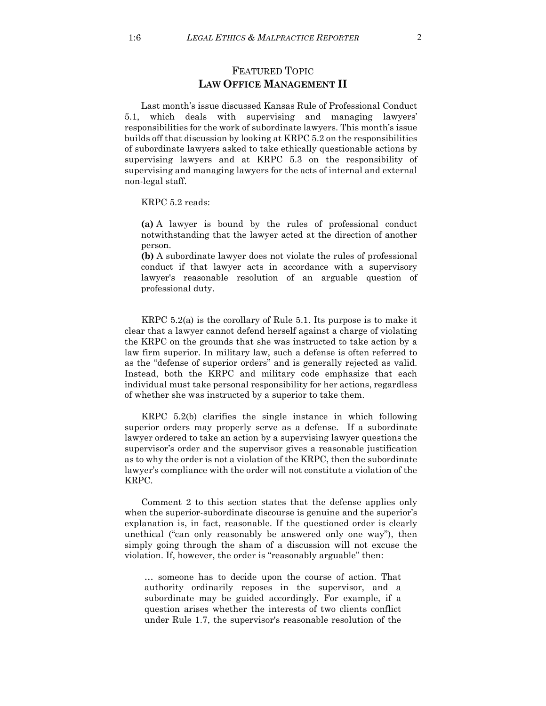## FEATURED TOPIC **LAW OFFICE MANAGEMENT II**

Last month's issue discussed Kansas Rule of Professional Conduct 5.1, which deals with supervising and managing lawyers' responsibilities for the work of subordinate lawyers. This month's issue builds off that discussion by looking at KRPC 5.2 on the responsibilities of subordinate lawyers asked to take ethically questionable actions by supervising lawyers and at KRPC 5.3 on the responsibility of supervising and managing lawyers for the acts of internal and external non-legal staff.

KRPC 5.2 reads:

**(a)** A lawyer is bound by the rules of professional conduct notwithstanding that the lawyer acted at the direction of another person.

**(b)** A subordinate lawyer does not violate the rules of professional conduct if that lawyer acts in accordance with a supervisory lawyer's reasonable resolution of an arguable question of professional duty.

KRPC 5.2(a) is the corollary of Rule 5.1. Its purpose is to make it clear that a lawyer cannot defend herself against a charge of violating the KRPC on the grounds that she was instructed to take action by a law firm superior. In military law, such a defense is often referred to as the "defense of superior orders" and is generally rejected as valid. Instead, both the KRPC and military code emphasize that each individual must take personal responsibility for her actions, regardless of whether she was instructed by a superior to take them.

KRPC 5.2(b) clarifies the single instance in which following superior orders may properly serve as a defense. If a subordinate lawyer ordered to take an action by a supervising lawyer questions the supervisor's order and the supervisor gives a reasonable justification as to why the order is not a violation of the KRPC, then the subordinate lawyer's compliance with the order will not constitute a violation of the KRPC.

Comment 2 to this section states that the defense applies only when the superior-subordinate discourse is genuine and the superior's explanation is, in fact, reasonable. If the questioned order is clearly unethical ("can only reasonably be answered only one way"), then simply going through the sham of a discussion will not excuse the violation. If, however, the order is "reasonably arguable" then:

… someone has to decide upon the course of action. That authority ordinarily reposes in the supervisor, and a subordinate may be guided accordingly. For example, if a question arises whether the interests of two clients conflict under Rule 1.7, the supervisor's reasonable resolution of the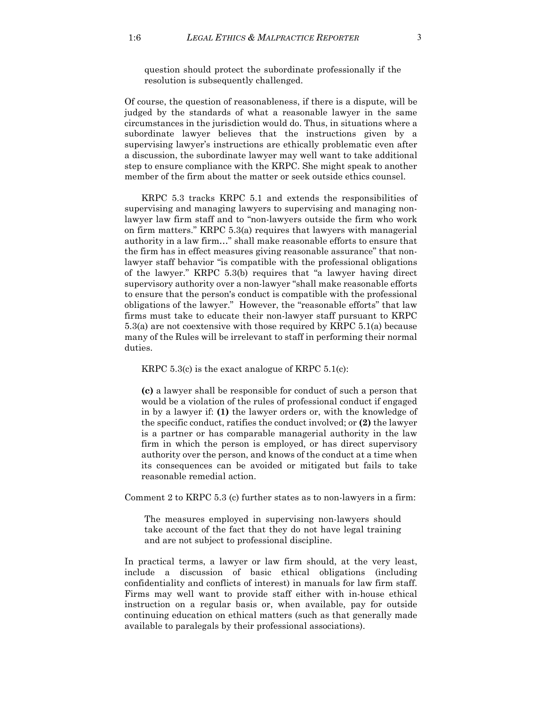question should protect the subordinate professionally if the resolution is subsequently challenged.

Of course, the question of reasonableness, if there is a dispute, will be judged by the standards of what a reasonable lawyer in the same circumstances in the jurisdiction would do. Thus, in situations where a subordinate lawyer believes that the instructions given by a supervising lawyer's instructions are ethically problematic even after a discussion, the subordinate lawyer may well want to take additional step to ensure compliance with the KRPC. She might speak to another member of the firm about the matter or seek outside ethics counsel.

KRPC 5.3 tracks KRPC 5.1 and extends the responsibilities of supervising and managing lawyers to supervising and managing nonlawyer law firm staff and to "non-lawyers outside the firm who work on firm matters." KRPC 5.3(a) requires that lawyers with managerial authority in a law firm…" shall make reasonable efforts to ensure that the firm has in effect measures giving reasonable assurance" that nonlawyer staff behavior "is compatible with the professional obligations of the lawyer." KRPC 5.3(b) requires that "a lawyer having direct supervisory authority over a non-lawyer "shall make reasonable efforts to ensure that the person's conduct is compatible with the professional obligations of the lawyer." However, the "reasonable efforts" that law firms must take to educate their non-lawyer staff pursuant to KRPC 5.3(a) are not coextensive with those required by KRPC 5.1(a) because many of the Rules will be irrelevant to staff in performing their normal duties.

KRPC  $5.3(c)$  is the exact analogue of KRPC  $5.1(c)$ :

**(c)** a lawyer shall be responsible for conduct of such a person that would be a violation of the rules of professional conduct if engaged in by a lawyer if: **(1)** the lawyer orders or, with the knowledge of the specific conduct, ratifies the conduct involved; or **(2)** the lawyer is a partner or has comparable managerial authority in the law firm in which the person is employed, or has direct supervisory authority over the person, and knows of the conduct at a time when its consequences can be avoided or mitigated but fails to take reasonable remedial action.

Comment 2 to KRPC 5.3 (c) further states as to non-lawyers in a firm:

The measures employed in supervising non-lawyers should take account of the fact that they do not have legal training and are not subject to professional discipline.

In practical terms, a lawyer or law firm should, at the very least, include a discussion of basic ethical obligations (including confidentiality and conflicts of interest) in manuals for law firm staff. Firms may well want to provide staff either with in-house ethical instruction on a regular basis or, when available, pay for outside continuing education on ethical matters (such as that generally made available to paralegals by their professional associations).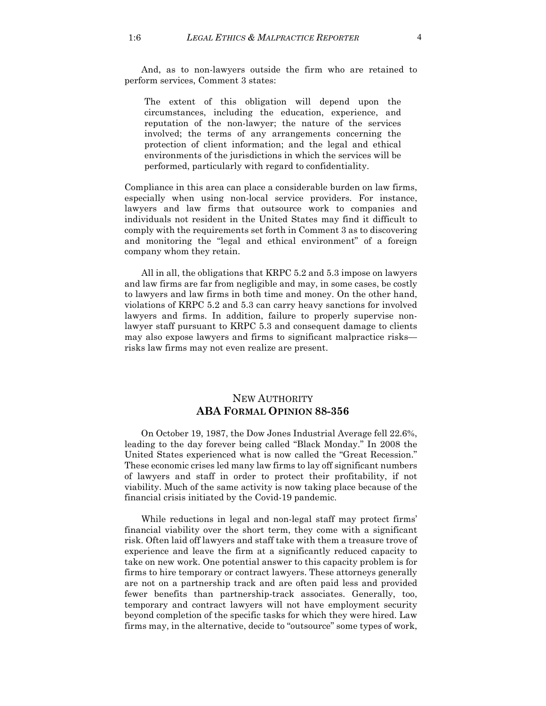And, as to non-lawyers outside the firm who are retained to perform services, Comment 3 states:

The extent of this obligation will depend upon the circumstances, including the education, experience, and reputation of the non-lawyer; the nature of the services involved; the terms of any arrangements concerning the protection of client information; and the legal and ethical environments of the jurisdictions in which the services will be performed, particularly with regard to confidentiality.

Compliance in this area can place a considerable burden on law firms, especially when using non-local service providers. For instance, lawyers and law firms that outsource work to companies and individuals not resident in the United States may find it difficult to comply with the requirements set forth in Comment 3 as to discovering and monitoring the "legal and ethical environment" of a foreign company whom they retain.

All in all, the obligations that KRPC 5.2 and 5.3 impose on lawyers and law firms are far from negligible and may, in some cases, be costly to lawyers and law firms in both time and money. On the other hand, violations of KRPC 5.2 and 5.3 can carry heavy sanctions for involved lawyers and firms. In addition, failure to properly supervise nonlawyer staff pursuant to KRPC 5.3 and consequent damage to clients may also expose lawyers and firms to significant malpractice risks risks law firms may not even realize are present.

## NEW AUTHORITY **ABA FORMAL OPINION 88-356**

On October 19, 1987, the Dow Jones Industrial Average fell 22.6%, leading to the day forever being called "Black Monday." In 2008 the United States experienced what is now called the "Great Recession." These economic crises led many law firms to lay off significant numbers of lawyers and staff in order to protect their profitability, if not viability. Much of the same activity is now taking place because of the financial crisis initiated by the Covid-19 pandemic.

While reductions in legal and non-legal staff may protect firms' financial viability over the short term, they come with a significant risk. Often laid off lawyers and staff take with them a treasure trove of experience and leave the firm at a significantly reduced capacity to take on new work. One potential answer to this capacity problem is for firms to hire temporary or contract lawyers. These attorneys generally are not on a partnership track and are often paid less and provided fewer benefits than partnership-track associates. Generally, too, temporary and contract lawyers will not have employment security beyond completion of the specific tasks for which they were hired. Law firms may, in the alternative, decide to "outsource" some types of work,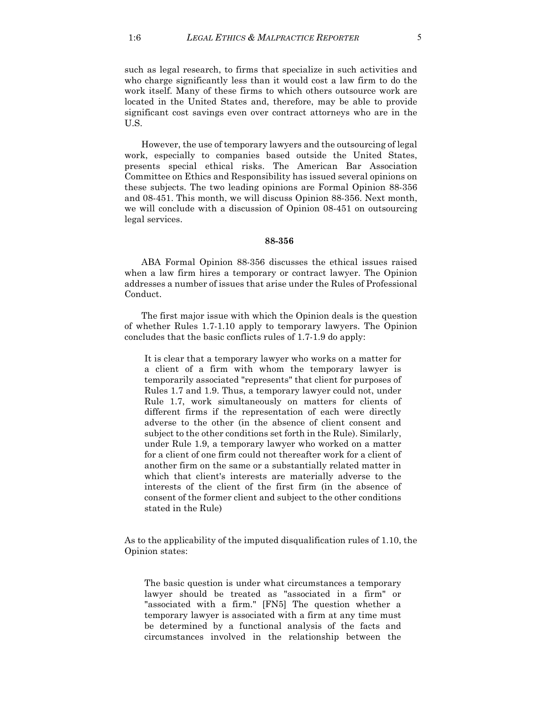such as legal research, to firms that specialize in such activities and who charge significantly less than it would cost a law firm to do the work itself. Many of these firms to which others outsource work are located in the United States and, therefore, may be able to provide significant cost savings even over contract attorneys who are in the U.S.

However, the use of temporary lawyers and the outsourcing of legal work, especially to companies based outside the United States, presents special ethical risks. The American Bar Association Committee on Ethics and Responsibility has issued several opinions on these subjects. The two leading opinions are Formal Opinion 88-356 and 08-451. This month, we will discuss Opinion 88-356. Next month, we will conclude with a discussion of Opinion 08-451 on outsourcing legal services.

#### **88-356**

ABA Formal Opinion 88-356 discusses the ethical issues raised when a law firm hires a temporary or contract lawyer. The Opinion addresses a number of issues that arise under the Rules of Professional Conduct.

The first major issue with which the Opinion deals is the question of whether Rules 1.7-1.10 apply to temporary lawyers. The Opinion concludes that the basic conflicts rules of 1.7-1.9 do apply:

It is clear that a temporary lawyer who works on a matter for a client of a firm with whom the temporary lawyer is temporarily associated "represents" that client for purposes of Rules 1.7 and 1.9. Thus, a temporary lawyer could not, under Rule 1.7, work simultaneously on matters for clients of different firms if the representation of each were directly adverse to the other (in the absence of client consent and subject to the other conditions set forth in the Rule). Similarly, under Rule 1.9, a temporary lawyer who worked on a matter for a client of one firm could not thereafter work for a client of another firm on the same or a substantially related matter in which that client's interests are materially adverse to the interests of the client of the first firm (in the absence of consent of the former client and subject to the other conditions stated in the Rule)

As to the applicability of the imputed disqualification rules of 1.10, the Opinion states:

The basic question is under what circumstances a temporary lawyer should be treated as "associated in a firm" or "associated with a firm." [FN5] The question whether a temporary lawyer is associated with a firm at any time must be determined by a functional analysis of the facts and circumstances involved in the relationship between the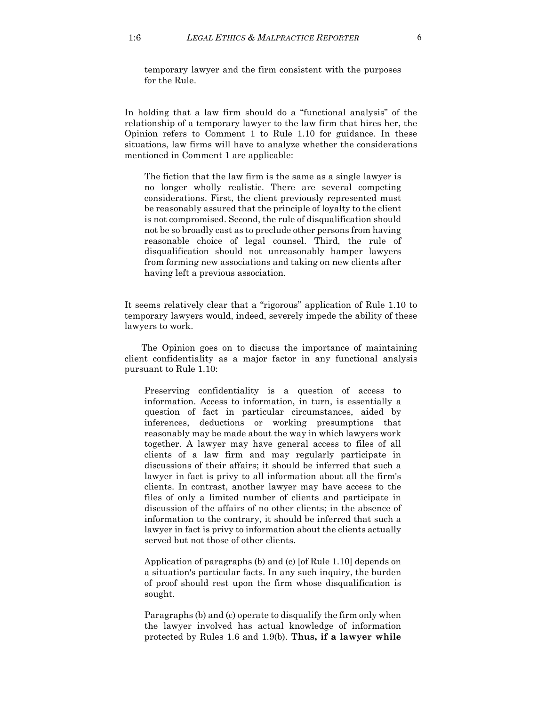temporary lawyer and the firm consistent with the purposes for the Rule.

In holding that a law firm should do a "functional analysis" of the relationship of a temporary lawyer to the law firm that hires her, the Opinion refers to Comment 1 to Rule 1.10 for guidance. In these situations, law firms will have to analyze whether the considerations mentioned in Comment 1 are applicable:

The fiction that the law firm is the same as a single lawyer is no longer wholly realistic. There are several competing considerations. First, the client previously represented must be reasonably assured that the principle of loyalty to the client is not compromised. Second, the rule of disqualification should not be so broadly cast as to preclude other persons from having reasonable choice of legal counsel. Third, the rule of disqualification should not unreasonably hamper lawyers from forming new associations and taking on new clients after having left a previous association.

It seems relatively clear that a "rigorous" application of Rule 1.10 to temporary lawyers would, indeed, severely impede the ability of these lawyers to work.

The Opinion goes on to discuss the importance of maintaining client confidentiality as a major factor in any functional analysis pursuant to Rule 1.10:

Preserving confidentiality is a question of access to information. Access to information, in turn, is essentially a question of fact in particular circumstances, aided by inferences, deductions or working presumptions that reasonably may be made about the way in which lawyers work together. A lawyer may have general access to files of all clients of a law firm and may regularly participate in discussions of their affairs; it should be inferred that such a lawyer in fact is privy to all information about all the firm's clients. In contrast, another lawyer may have access to the files of only a limited number of clients and participate in discussion of the affairs of no other clients; in the absence of information to the contrary, it should be inferred that such a lawyer in fact is privy to information about the clients actually served but not those of other clients.

Application of paragraphs (b) and (c) [of Rule 1.10] depends on a situation's particular facts. In any such inquiry, the burden of proof should rest upon the firm whose disqualification is sought.

Paragraphs (b) and (c) operate to disqualify the firm only when the lawyer involved has actual knowledge of information protected by Rules 1.6 and 1.9(b). **Thus, if a lawyer while**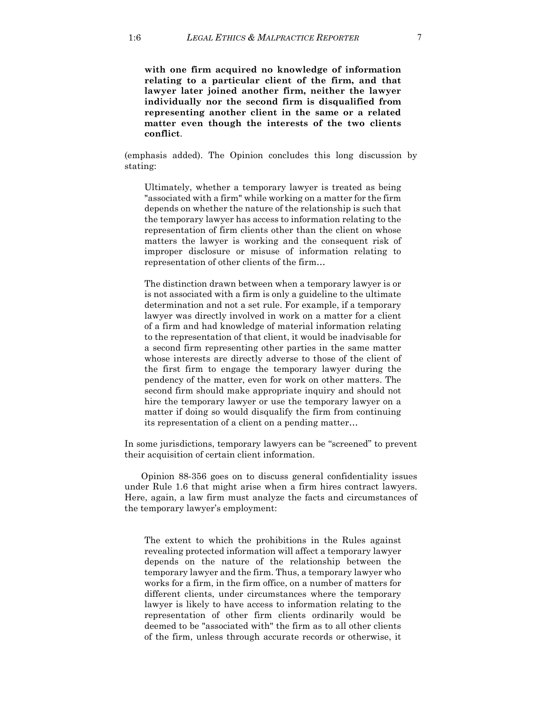**with one firm acquired no knowledge of information relating to a particular client of the firm, and that lawyer later joined another firm, neither the lawyer individually nor the second firm is disqualified from representing another client in the same or a related matter even though the interests of the two clients conflict**.

(emphasis added). The Opinion concludes this long discussion by stating:

Ultimately, whether a temporary lawyer is treated as being "associated with a firm" while working on a matter for the firm depends on whether the nature of the relationship is such that the temporary lawyer has access to information relating to the representation of firm clients other than the client on whose matters the lawyer is working and the consequent risk of improper disclosure or misuse of information relating to representation of other clients of the firm…

The distinction drawn between when a temporary lawyer is or is not associated with a firm is only a guideline to the ultimate determination and not a set rule. For example, if a temporary lawyer was directly involved in work on a matter for a client of a firm and had knowledge of material information relating to the representation of that client, it would be inadvisable for a second firm representing other parties in the same matter whose interests are directly adverse to those of the client of the first firm to engage the temporary lawyer during the pendency of the matter, even for work on other matters. The second firm should make appropriate inquiry and should not hire the temporary lawyer or use the temporary lawyer on a matter if doing so would disqualify the firm from continuing its representation of a client on a pending matter…

In some jurisdictions, temporary lawyers can be "screened" to prevent their acquisition of certain client information.

Opinion 88-356 goes on to discuss general confidentiality issues under Rule 1.6 that might arise when a firm hires contract lawyers. Here, again, a law firm must analyze the facts and circumstances of the temporary lawyer's employment:

The extent to which the prohibitions in the Rules against revealing protected information will affect a temporary lawyer depends on the nature of the relationship between the temporary lawyer and the firm. Thus, a temporary lawyer who works for a firm, in the firm office, on a number of matters for different clients, under circumstances where the temporary lawyer is likely to have access to information relating to the representation of other firm clients ordinarily would be deemed to be "associated with" the firm as to all other clients of the firm, unless through accurate records or otherwise, it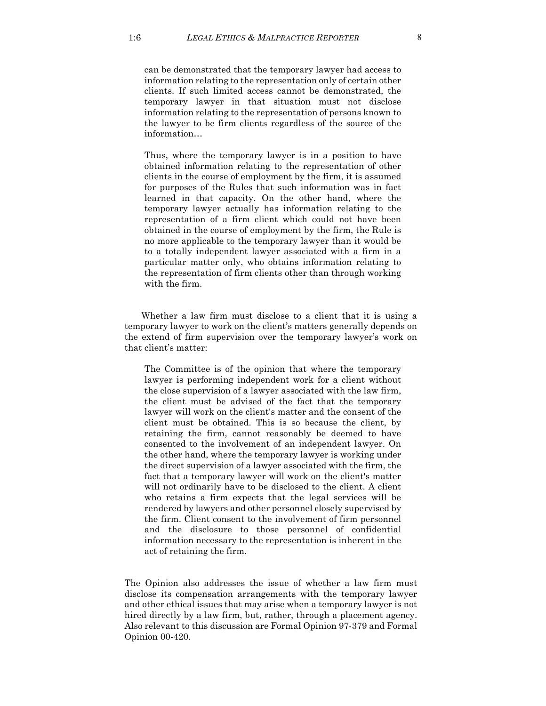can be demonstrated that the temporary lawyer had access to information relating to the representation only of certain other clients. If such limited access cannot be demonstrated, the temporary lawyer in that situation must not disclose information relating to the representation of persons known to the lawyer to be firm clients regardless of the source of the information…

Thus, where the temporary lawyer is in a position to have obtained information relating to the representation of other clients in the course of employment by the firm, it is assumed for purposes of the Rules that such information was in fact learned in that capacity. On the other hand, where the temporary lawyer actually has information relating to the representation of a firm client which could not have been obtained in the course of employment by the firm, the Rule is no more applicable to the temporary lawyer than it would be to a totally independent lawyer associated with a firm in a particular matter only, who obtains information relating to the representation of firm clients other than through working with the firm.

Whether a law firm must disclose to a client that it is using a temporary lawyer to work on the client's matters generally depends on the extend of firm supervision over the temporary lawyer's work on that client's matter:

The Committee is of the opinion that where the temporary lawyer is performing independent work for a client without the close supervision of a lawyer associated with the law firm, the client must be advised of the fact that the temporary lawyer will work on the client's matter and the consent of the client must be obtained. This is so because the client, by retaining the firm, cannot reasonably be deemed to have consented to the involvement of an independent lawyer. On the other hand, where the temporary lawyer is working under the direct supervision of a lawyer associated with the firm, the fact that a temporary lawyer will work on the client's matter will not ordinarily have to be disclosed to the client. A client who retains a firm expects that the legal services will be rendered by lawyers and other personnel closely supervised by the firm. Client consent to the involvement of firm personnel and the disclosure to those personnel of confidential information necessary to the representation is inherent in the act of retaining the firm.

The Opinion also addresses the issue of whether a law firm must disclose its compensation arrangements with the temporary lawyer and other ethical issues that may arise when a temporary lawyer is not hired directly by a law firm, but, rather, through a placement agency. Also relevant to this discussion are Formal Opinion 97-379 and Formal Opinion 00-420.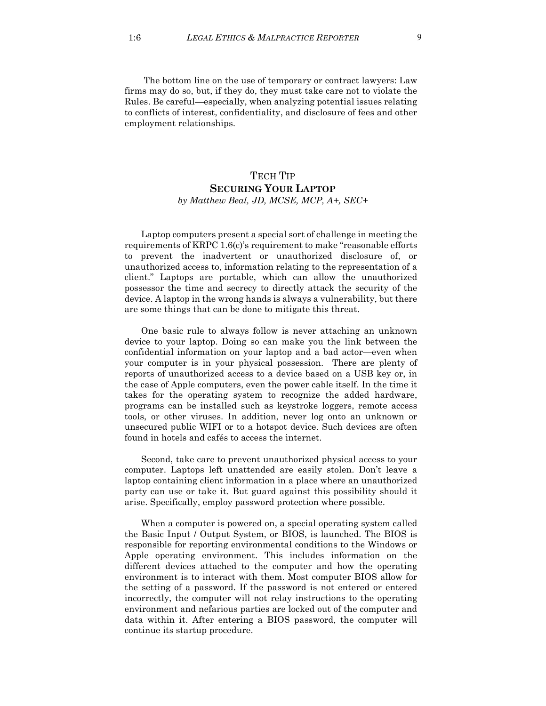The bottom line on the use of temporary or contract lawyers: Law firms may do so, but, if they do, they must take care not to violate the Rules. Be careful—especially, when analyzing potential issues relating to conflicts of interest, confidentiality, and disclosure of fees and other employment relationships.

## TECH TIP **SECURING YOUR LAPTOP** *by Matthew Beal, JD, MCSE, MCP, A+, SEC+*

Laptop computers present a special sort of challenge in meeting the requirements of KRPC 1.6(c)'s requirement to make "reasonable efforts to prevent the inadvertent or unauthorized disclosure of, or unauthorized access to, information relating to the representation of a client." Laptops are portable, which can allow the unauthorized possessor the time and secrecy to directly attack the security of the device. A laptop in the wrong hands is always a vulnerability, but there are some things that can be done to mitigate this threat.

One basic rule to always follow is never attaching an unknown device to your laptop. Doing so can make you the link between the confidential information on your laptop and a bad actor—even when your computer is in your physical possession. There are plenty of reports of unauthorized access to a device based on a USB key or, in the case of Apple computers, even the power cable itself. In the time it takes for the operating system to recognize the added hardware, programs can be installed such as keystroke loggers, remote access tools, or other viruses. In addition, never log onto an unknown or unsecured public WIFI or to a hotspot device. Such devices are often found in hotels and cafés to access the internet.

Second, take care to prevent unauthorized physical access to your computer. Laptops left unattended are easily stolen. Don't leave a laptop containing client information in a place where an unauthorized party can use or take it. But guard against this possibility should it arise. Specifically, employ password protection where possible.

When a computer is powered on, a special operating system called the Basic Input / Output System, or BIOS, is launched. The BIOS is responsible for reporting environmental conditions to the Windows or Apple operating environment. This includes information on the different devices attached to the computer and how the operating environment is to interact with them. Most computer BIOS allow for the setting of a password. If the password is not entered or entered incorrectly, the computer will not relay instructions to the operating environment and nefarious parties are locked out of the computer and data within it. After entering a BIOS password, the computer will continue its startup procedure.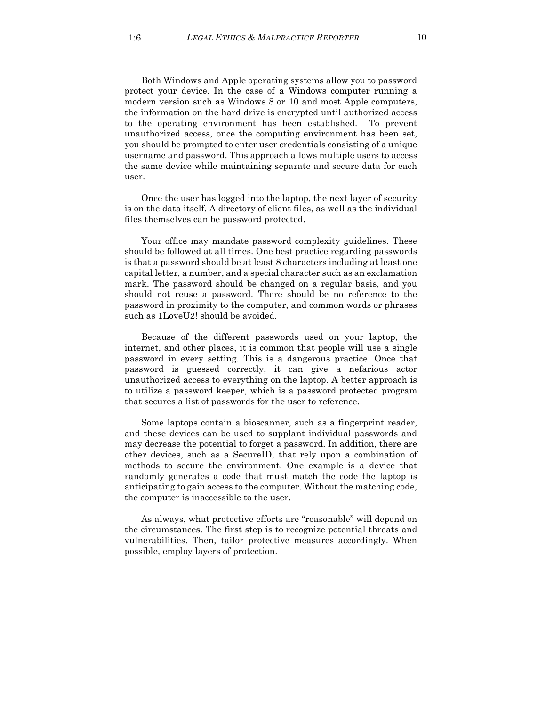Both Windows and Apple operating systems allow you to password protect your device. In the case of a Windows computer running a modern version such as Windows 8 or 10 and most Apple computers, the information on the hard drive is encrypted until authorized access to the operating environment has been established. To prevent unauthorized access, once the computing environment has been set, you should be prompted to enter user credentials consisting of a unique username and password. This approach allows multiple users to access the same device while maintaining separate and secure data for each user.

Once the user has logged into the laptop, the next layer of security is on the data itself. A directory of client files, as well as the individual files themselves can be password protected.

Your office may mandate password complexity guidelines. These should be followed at all times. One best practice regarding passwords is that a password should be at least 8 characters including at least one capital letter, a number, and a special character such as an exclamation mark. The password should be changed on a regular basis, and you should not reuse a password. There should be no reference to the password in proximity to the computer, and common words or phrases such as 1LoveU2! should be avoided.

Because of the different passwords used on your laptop, the internet, and other places, it is common that people will use a single password in every setting. This is a dangerous practice. Once that password is guessed correctly, it can give a nefarious actor unauthorized access to everything on the laptop. A better approach is to utilize a password keeper, which is a password protected program that secures a list of passwords for the user to reference.

Some laptops contain a bioscanner, such as a fingerprint reader, and these devices can be used to supplant individual passwords and may decrease the potential to forget a password. In addition, there are other devices, such as a SecureID, that rely upon a combination of methods to secure the environment. One example is a device that randomly generates a code that must match the code the laptop is anticipating to gain access to the computer. Without the matching code, the computer is inaccessible to the user.

As always, what protective efforts are "reasonable" will depend on the circumstances. The first step is to recognize potential threats and vulnerabilities. Then, tailor protective measures accordingly. When possible, employ layers of protection.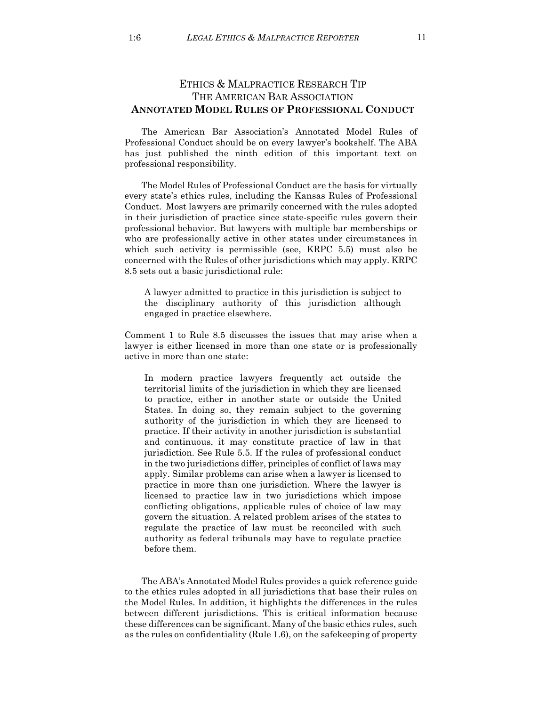## ETHICS & MALPRACTICE RESEARCH TIP THE AMERICAN BAR ASSOCIATION **ANNOTATED MODEL RULES OF PROFESSIONAL CONDUCT**

The American Bar Association's Annotated Model Rules of Professional Conduct should be on every lawyer's bookshelf. The ABA has just published the ninth edition of this important text on professional responsibility.

The Model Rules of Professional Conduct are the basis for virtually every state's ethics rules, including the Kansas Rules of Professional Conduct. Most lawyers are primarily concerned with the rules adopted in their jurisdiction of practice since state-specific rules govern their professional behavior. But lawyers with multiple bar memberships or who are professionally active in other states under circumstances in which such activity is permissible (see, KRPC 5.5) must also be concerned with the Rules of other jurisdictions which may apply. KRPC 8.5 sets out a basic jurisdictional rule:

A lawyer admitted to practice in this jurisdiction is subject to the disciplinary authority of this jurisdiction although engaged in practice elsewhere.

Comment 1 to Rule 8.5 discusses the issues that may arise when a lawyer is either licensed in more than one state or is professionally active in more than one state:

In modern practice lawyers frequently act outside the territorial limits of the jurisdiction in which they are licensed to practice, either in another state or outside the United States. In doing so, they remain subject to the governing authority of the jurisdiction in which they are licensed to practice. If their activity in another jurisdiction is substantial and continuous, it may constitute practice of law in that jurisdiction. See Rule 5.5. If the rules of professional conduct in the two jurisdictions differ, principles of conflict of laws may apply. Similar problems can arise when a lawyer is licensed to practice in more than one jurisdiction. Where the lawyer is licensed to practice law in two jurisdictions which impose conflicting obligations, applicable rules of choice of law may govern the situation. A related problem arises of the states to regulate the practice of law must be reconciled with such authority as federal tribunals may have to regulate practice before them.

The ABA's Annotated Model Rules provides a quick reference guide to the ethics rules adopted in all jurisdictions that base their rules on the Model Rules. In addition, it highlights the differences in the rules between different jurisdictions. This is critical information because these differences can be significant. Many of the basic ethics rules, such as the rules on confidentiality (Rule 1.6), on the safekeeping of property